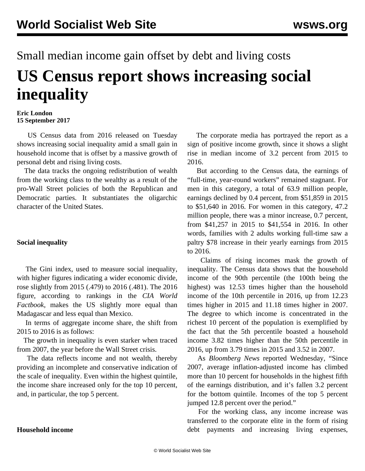# Small median income gain offset by debt and living costs **US Census report shows increasing social inequality**

#### **Eric London 15 September 2017**

 US Census data from 2016 released on Tuesday shows increasing social inequality amid a small gain in household income that is offset by a massive growth of personal debt and rising living costs.

 The data tracks the ongoing redistribution of wealth from the working class to the wealthy as a result of the pro-Wall Street policies of both the Republican and Democratic parties. It substantiates the oligarchic character of the United States.

## **Social inequality**

 The Gini index, used to measure social inequality, with higher figures indicating a wider economic divide, rose slightly from 2015 (.479) to 2016 (.481). The 2016 figure, according to rankings in the *CIA World Factbook*, makes the US slightly more equal than Madagascar and less equal than Mexico.

 In terms of aggregate income share, the shift from 2015 to 2016 is as follows:

 The growth in inequality is even starker when traced from 2007, the year before the Wall Street crisis.

 The data reflects income and not wealth, thereby providing an incomplete and conservative indication of the scale of inequality. Even within the highest quintile, the income share increased only for the top 10 percent, and, in particular, the top 5 percent.

 The corporate media has portrayed the report as a sign of positive income growth, since it shows a slight rise in median income of 3.2 percent from 2015 to 2016.

 But according to the Census data, the earnings of "full-time, year-round workers" remained stagnant. For men in this category, a total of 63.9 million people, earnings declined by 0.4 percent, from \$51,859 in 2015 to \$51,640 in 2016. For women in this category, 47.2 million people, there was a minor increase, 0.7 percent, from \$41,257 in 2015 to \$41,554 in 2016. In other words, families with 2 adults working full-time saw a paltry \$78 increase in their yearly earnings from 2015 to 2016.

 Claims of rising incomes mask the growth of inequality. The Census data shows that the household income of the 90th percentile (the 100th being the highest) was 12.53 times higher than the household income of the 10th percentile in 2016, up from 12.23 times higher in 2015 and 11.18 times higher in 2007. The degree to which income is concentrated in the richest 10 percent of the population is exemplified by the fact that the 5th percentile boasted a household income 3.82 times higher than the 50th percentile in 2016, up from 3.79 times in 2015 and 3.52 in 2007.

 As *Bloomberg News* reported Wednesday, "Since 2007, average inflation-adjusted income has climbed more than 10 percent for households in the highest fifth of the earnings distribution, and it's fallen 3.2 percent for the bottom quintile. Incomes of the top 5 percent jumped 12.8 percent over the period."

 For the working class, any income increase was transferred to the corporate elite in the form of rising debt payments and increasing living expenses,

## **Household income**